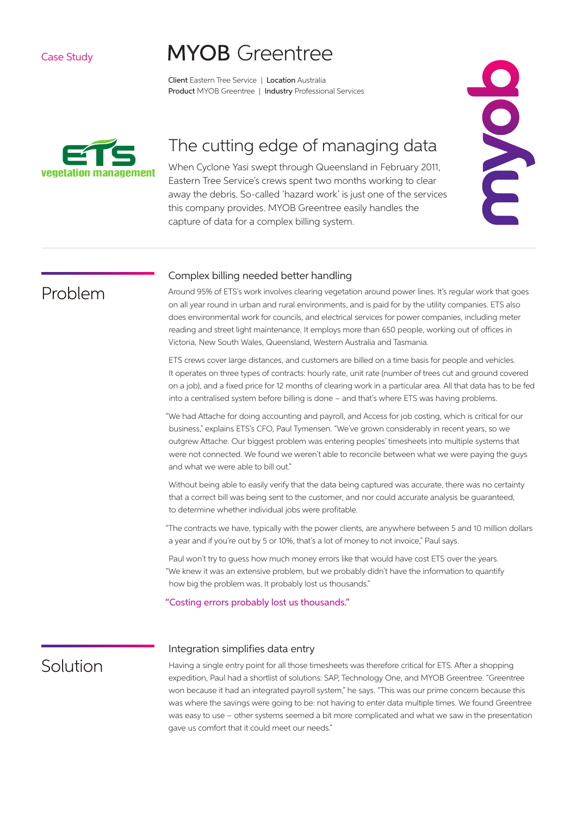#### Case Study

# **MYOB** Greentree

Client Eastern Tree Service | Location Australia Product MYOB Greentree | Industry Professional Services



## The cutting edge of managing data

When Cyclone Yasi swept through Queensland in February 2011, Eastern Tree Service's crews spent two months working to clear away the debris. So-called 'hazard work' is just one of the services this company provides. MYOB Greentree easily handles the capture of data for a complex billing system.



### Problem

### Complex billing needed better handling

Around 95% of ETS's work involves clearing vegetation around power lines. It's regular work that goes on all year round in urban and rural environments, and is paid for by the utility companies. ETS also does environmental work for councils, and electrical services for power companies, including meter reading and street light maintenance. It employs more than 650 people, working out of offices in Victoria, New South Wales, Queensland, Western Australia and Tasmania.

ETS crews cover large distances, and customers are billed on a time basis for people and vehicles. It operates on three types of contracts: hourly rate, unit rate (number of trees cut and ground covered on a job), and a fixed price for 12 months of clearing work in a particular area. All that data has to be fed into a centralised system before billing is done – and that's where ETS was having problems.

"We had Attache for doing accounting and payroll, and Access for job costing, which is critical for our business," explains ETS's CFO, Paul Tymensen. "We've grown considerably in recent years, so we outgrew Attache. Our biggest problem was entering peoples' timesheets into multiple systems that were not connected. We found we weren't able to reconcile between what we were paying the guys and what we were able to bill out."

Without being able to easily verify that the data being captured was accurate, there was no certainty that a correct bill was being sent to the customer, and nor could accurate analysis be guaranteed, to determine whether individual jobs were profitable.

"The contracts we have, typically with the power clients, are anywhere between 5 and 10 million dollars a year and if you're out by 5 or 10%, that's a lot of money to not invoice," Paul says.

Paul won't try to guess how much money errors like that would have cost ETS over the years. "We knew it was an extensive problem, but we probably didn't have the information to quantify how big the problem was. It probably lost us thousands."

"Costing errors probably lost us thousands."

## Solution

### Integration simplifies data entry

Having a single entry point for all those timesheets was therefore critical for ETS. After a shopping expedition, Paul had a shortlist of solutions: SAP, Technology One, and MYOB Greentree. "Greentree won because it had an integrated payroll system," he says. "This was our prime concern because this was where the savings were going to be: not having to enter data multiple times. We found Greentree was easy to use – other systems seemed a bit more complicated and what we saw in the presentation gave us comfort that it could meet our needs."